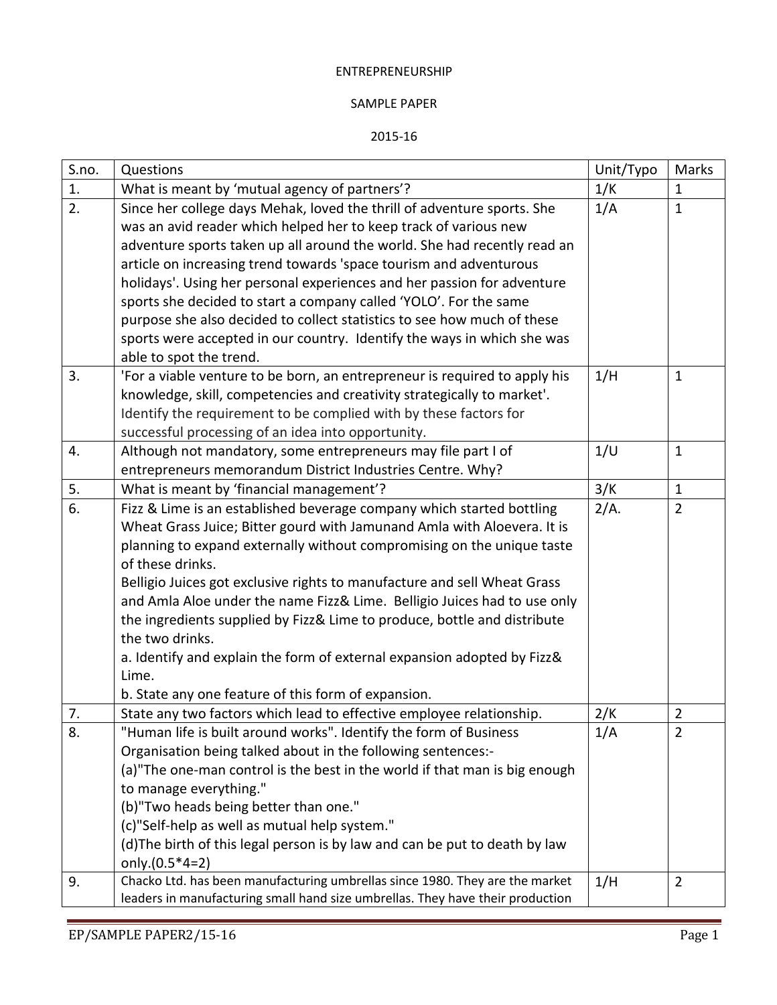## ENTREPRENEURSHIP

## SAMPLE PAPER

## 2015-16

| S.no. | Questions                                                                      | Unit/Typo | Marks          |
|-------|--------------------------------------------------------------------------------|-----------|----------------|
| 1.    | What is meant by 'mutual agency of partners'?                                  | 1/K       | $\mathbf 1$    |
| 2.    | Since her college days Mehak, loved the thrill of adventure sports. She        | 1/A       | $\mathbf{1}$   |
|       | was an avid reader which helped her to keep track of various new               |           |                |
|       | adventure sports taken up all around the world. She had recently read an       |           |                |
|       | article on increasing trend towards 'space tourism and adventurous             |           |                |
|       | holidays'. Using her personal experiences and her passion for adventure        |           |                |
|       | sports she decided to start a company called 'YOLO'. For the same              |           |                |
|       | purpose she also decided to collect statistics to see how much of these        |           |                |
|       | sports were accepted in our country. Identify the ways in which she was        |           |                |
|       | able to spot the trend.                                                        |           |                |
| 3.    | 'For a viable venture to be born, an entrepreneur is required to apply his     | 1/H       | $\mathbf{1}$   |
|       | knowledge, skill, competencies and creativity strategically to market'.        |           |                |
|       | Identify the requirement to be complied with by these factors for              |           |                |
|       | successful processing of an idea into opportunity.                             |           |                |
| 4.    | Although not mandatory, some entrepreneurs may file part I of                  | 1/U       | $\mathbf{1}$   |
|       | entrepreneurs memorandum District Industries Centre. Why?                      |           |                |
| 5.    | What is meant by 'financial management'?                                       | 3/K       | $\mathbf{1}$   |
| 6.    | Fizz & Lime is an established beverage company which started bottling          | 2/A.      | $\overline{2}$ |
|       | Wheat Grass Juice; Bitter gourd with Jamunand Amla with Aloevera. It is        |           |                |
|       | planning to expand externally without compromising on the unique taste         |           |                |
|       | of these drinks.                                                               |           |                |
|       | Belligio Juices got exclusive rights to manufacture and sell Wheat Grass       |           |                |
|       | and Amla Aloe under the name Fizz& Lime. Belligio Juices had to use only       |           |                |
|       | the ingredients supplied by Fizz& Lime to produce, bottle and distribute       |           |                |
|       | the two drinks.                                                                |           |                |
|       | a. Identify and explain the form of external expansion adopted by Fizz&        |           |                |
|       | Lime.                                                                          |           |                |
|       | b. State any one feature of this form of expansion.                            |           |                |
| 7.    | State any two factors which lead to effective employee relationship.           | 2/K       | $\overline{2}$ |
| 8.    | 'Human life is built around works". Identify the form of Business              | 1/A       | $\overline{2}$ |
|       | Organisation being talked about in the following sentences:-                   |           |                |
|       | (a)"The one-man control is the best in the world if that man is big enough     |           |                |
|       | to manage everything."                                                         |           |                |
|       | (b)"Two heads being better than one."                                          |           |                |
|       | (c)"Self-help as well as mutual help system."                                  |           |                |
|       | (d) The birth of this legal person is by law and can be put to death by law    |           |                |
|       | only.(0.5*4=2)                                                                 |           |                |
| 9.    | Chacko Ltd. has been manufacturing umbrellas since 1980. They are the market   | 1/H       | $\overline{2}$ |
|       | leaders in manufacturing small hand size umbrellas. They have their production |           |                |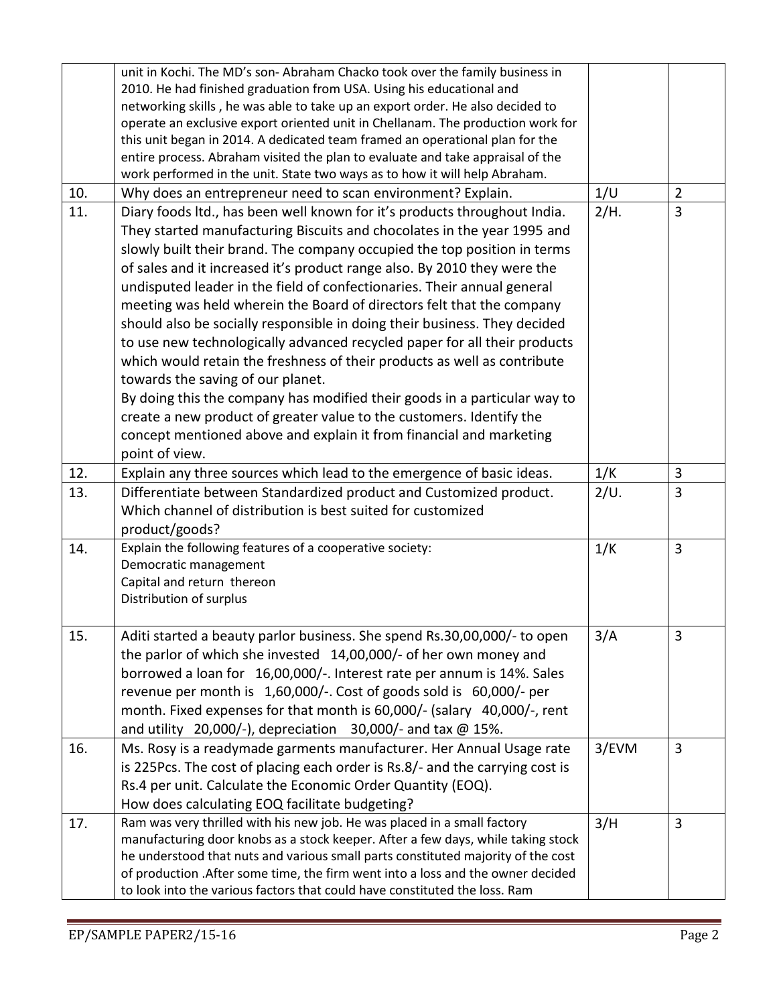|     | unit in Kochi. The MD's son- Abraham Chacko took over the family business in<br>2010. He had finished graduation from USA. Using his educational and<br>networking skills, he was able to take up an export order. He also decided to<br>operate an exclusive export oriented unit in Chellanam. The production work for<br>this unit began in 2014. A dedicated team framed an operational plan for the<br>entire process. Abraham visited the plan to evaluate and take appraisal of the<br>work performed in the unit. State two ways as to how it will help Abraham.                                                                                                                                                                                                                                                                                                                                                                                                                  |       |                |
|-----|-------------------------------------------------------------------------------------------------------------------------------------------------------------------------------------------------------------------------------------------------------------------------------------------------------------------------------------------------------------------------------------------------------------------------------------------------------------------------------------------------------------------------------------------------------------------------------------------------------------------------------------------------------------------------------------------------------------------------------------------------------------------------------------------------------------------------------------------------------------------------------------------------------------------------------------------------------------------------------------------|-------|----------------|
| 10. | Why does an entrepreneur need to scan environment? Explain.                                                                                                                                                                                                                                                                                                                                                                                                                                                                                                                                                                                                                                                                                                                                                                                                                                                                                                                               | 1/U   | $\overline{2}$ |
| 11. | Diary foods ltd., has been well known for it's products throughout India.<br>They started manufacturing Biscuits and chocolates in the year 1995 and<br>slowly built their brand. The company occupied the top position in terms<br>of sales and it increased it's product range also. By 2010 they were the<br>undisputed leader in the field of confectionaries. Their annual general<br>meeting was held wherein the Board of directors felt that the company<br>should also be socially responsible in doing their business. They decided<br>to use new technologically advanced recycled paper for all their products<br>which would retain the freshness of their products as well as contribute<br>towards the saving of our planet.<br>By doing this the company has modified their goods in a particular way to<br>create a new product of greater value to the customers. Identify the<br>concept mentioned above and explain it from financial and marketing<br>point of view. | 2/H.  | 3              |
| 12. | Explain any three sources which lead to the emergence of basic ideas.                                                                                                                                                                                                                                                                                                                                                                                                                                                                                                                                                                                                                                                                                                                                                                                                                                                                                                                     | 1/K   | 3              |
| 13. | Differentiate between Standardized product and Customized product.<br>Which channel of distribution is best suited for customized<br>product/goods?                                                                                                                                                                                                                                                                                                                                                                                                                                                                                                                                                                                                                                                                                                                                                                                                                                       | 2/U.  | 3              |
| 14. | Explain the following features of a cooperative society:<br>Democratic management<br>Capital and return thereon<br>Distribution of surplus                                                                                                                                                                                                                                                                                                                                                                                                                                                                                                                                                                                                                                                                                                                                                                                                                                                | 1/K   | $\overline{3}$ |
| 15. | Aditi started a beauty parlor business. She spend Rs.30,00,000/- to open<br>the parlor of which she invested 14,00,000/- of her own money and<br>borrowed a loan for 16,00,000/-. Interest rate per annum is 14%. Sales<br>revenue per month is 1,60,000/-. Cost of goods sold is 60,000/- per<br>month. Fixed expenses for that month is 60,000/- (salary 40,000/-, rent<br>and utility 20,000/-), depreciation 30,000/- and tax $@$ 15%.                                                                                                                                                                                                                                                                                                                                                                                                                                                                                                                                                | 3/A   | 3              |
| 16. | Ms. Rosy is a readymade garments manufacturer. Her Annual Usage rate<br>is 225Pcs. The cost of placing each order is Rs.8/- and the carrying cost is<br>Rs.4 per unit. Calculate the Economic Order Quantity (EOQ).<br>How does calculating EOQ facilitate budgeting?                                                                                                                                                                                                                                                                                                                                                                                                                                                                                                                                                                                                                                                                                                                     | 3/EVM | $\overline{3}$ |
| 17. | Ram was very thrilled with his new job. He was placed in a small factory<br>manufacturing door knobs as a stock keeper. After a few days, while taking stock<br>he understood that nuts and various small parts constituted majority of the cost<br>of production . After some time, the firm went into a loss and the owner decided<br>to look into the various factors that could have constituted the loss. Ram                                                                                                                                                                                                                                                                                                                                                                                                                                                                                                                                                                        | 3/H   | 3              |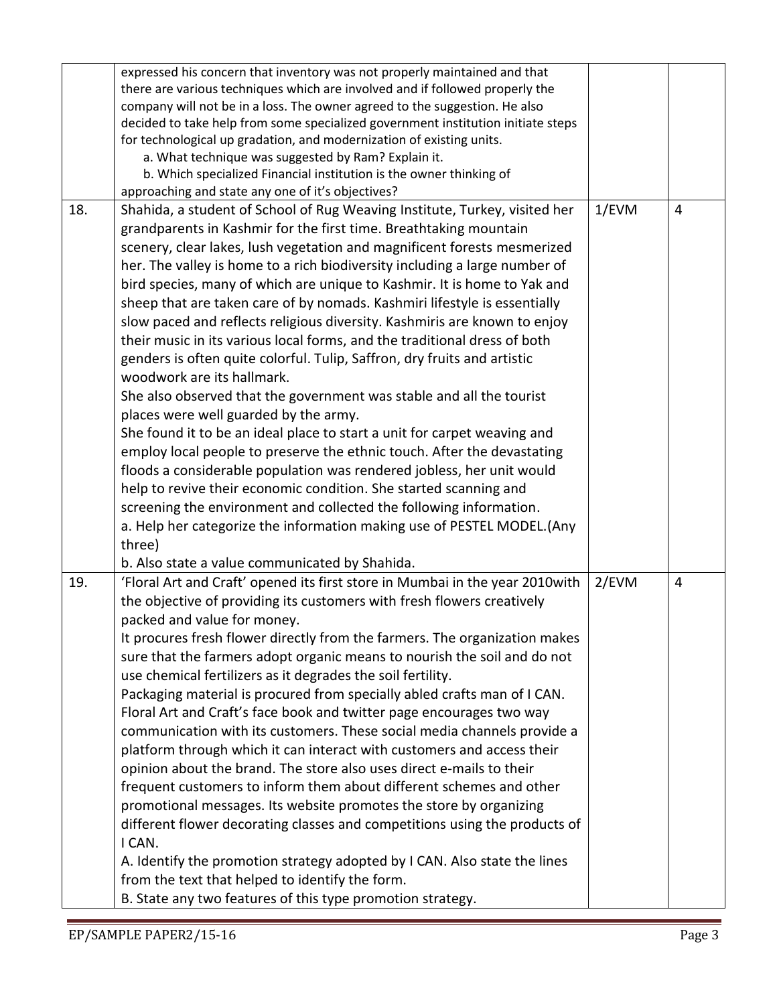|     | expressed his concern that inventory was not properly maintained and that        |          |   |
|-----|----------------------------------------------------------------------------------|----------|---|
|     | there are various techniques which are involved and if followed properly the     |          |   |
|     | company will not be in a loss. The owner agreed to the suggestion. He also       |          |   |
|     | decided to take help from some specialized government institution initiate steps |          |   |
|     | for technological up gradation, and modernization of existing units.             |          |   |
|     | a. What technique was suggested by Ram? Explain it.                              |          |   |
|     | b. Which specialized Financial institution is the owner thinking of              |          |   |
|     | approaching and state any one of it's objectives?                                |          |   |
| 18. | Shahida, a student of School of Rug Weaving Institute, Turkey, visited her       | $1$ /EVM | 4 |
|     | grandparents in Kashmir for the first time. Breathtaking mountain                |          |   |
|     | scenery, clear lakes, lush vegetation and magnificent forests mesmerized         |          |   |
|     | her. The valley is home to a rich biodiversity including a large number of       |          |   |
|     | bird species, many of which are unique to Kashmir. It is home to Yak and         |          |   |
|     | sheep that are taken care of by nomads. Kashmiri lifestyle is essentially        |          |   |
|     | slow paced and reflects religious diversity. Kashmiris are known to enjoy        |          |   |
|     | their music in its various local forms, and the traditional dress of both        |          |   |
|     | genders is often quite colorful. Tulip, Saffron, dry fruits and artistic         |          |   |
|     | woodwork are its hallmark.                                                       |          |   |
|     | She also observed that the government was stable and all the tourist             |          |   |
|     | places were well guarded by the army.                                            |          |   |
|     | She found it to be an ideal place to start a unit for carpet weaving and         |          |   |
|     | employ local people to preserve the ethnic touch. After the devastating          |          |   |
|     | floods a considerable population was rendered jobless, her unit would            |          |   |
|     | help to revive their economic condition. She started scanning and                |          |   |
|     | screening the environment and collected the following information.               |          |   |
|     | a. Help her categorize the information making use of PESTEL MODEL. (Any          |          |   |
|     | three)                                                                           |          |   |
|     | b. Also state a value communicated by Shahida.                                   |          |   |
| 19. | 'Floral Art and Craft' opened its first store in Mumbai in the year 2010 with    | 2/EVM    | 4 |
|     | the objective of providing its customers with fresh flowers creatively           |          |   |
|     | packed and value for money.                                                      |          |   |
|     |                                                                                  |          |   |
|     | It procures fresh flower directly from the farmers. The organization makes       |          |   |
|     | sure that the farmers adopt organic means to nourish the soil and do not         |          |   |
|     | use chemical fertilizers as it degrades the soil fertility.                      |          |   |
|     | Packaging material is procured from specially abled crafts man of I CAN.         |          |   |
|     | Floral Art and Craft's face book and twitter page encourages two way             |          |   |
|     | communication with its customers. These social media channels provide a          |          |   |
|     | platform through which it can interact with customers and access their           |          |   |
|     | opinion about the brand. The store also uses direct e-mails to their             |          |   |
|     | frequent customers to inform them about different schemes and other              |          |   |
|     | promotional messages. Its website promotes the store by organizing               |          |   |
|     | different flower decorating classes and competitions using the products of       |          |   |
|     | I CAN.                                                                           |          |   |
|     | A. Identify the promotion strategy adopted by I CAN. Also state the lines        |          |   |
|     | from the text that helped to identify the form.                                  |          |   |
|     | B. State any two features of this type promotion strategy.                       |          |   |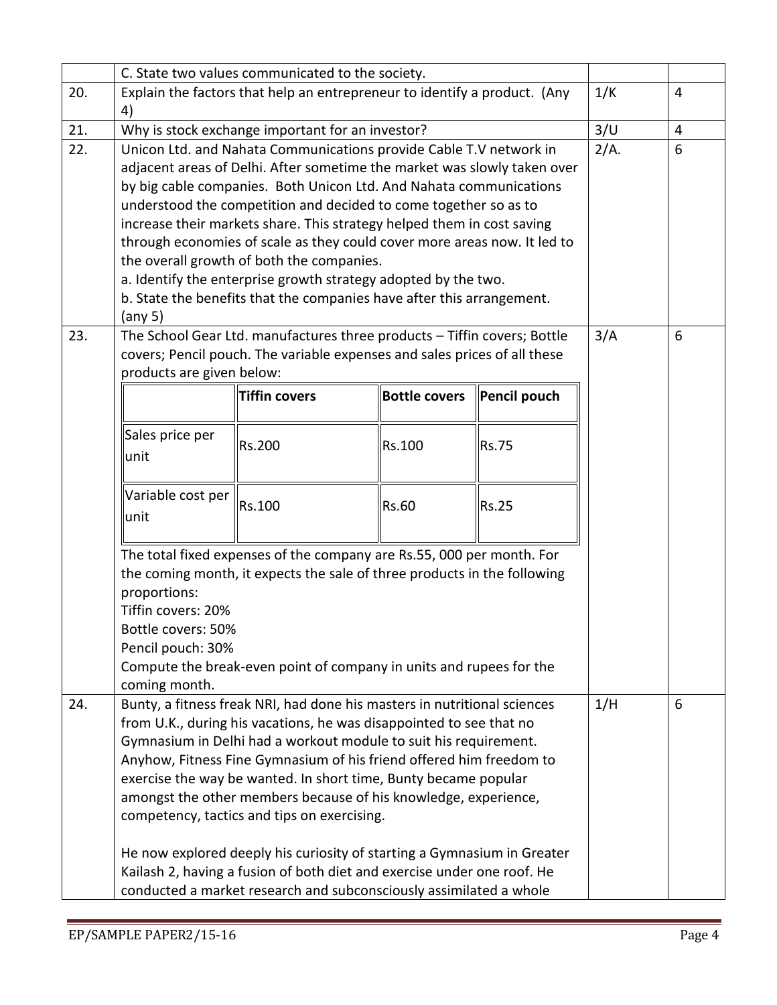|     | C. State two values communicated to the society. |                                                                           |                      |              |      |   |
|-----|--------------------------------------------------|---------------------------------------------------------------------------|----------------------|--------------|------|---|
| 20. |                                                  | Explain the factors that help an entrepreneur to identify a product. (Any |                      |              | 1/K  | 4 |
|     | 4)                                               |                                                                           |                      |              |      |   |
| 21. |                                                  | Why is stock exchange important for an investor?                          |                      |              | 3/U  | 4 |
| 22. |                                                  | Unicon Ltd. and Nahata Communications provide Cable T.V network in        |                      |              | 2/A. | 6 |
|     |                                                  | adjacent areas of Delhi. After sometime the market was slowly taken over  |                      |              |      |   |
|     |                                                  | by big cable companies. Both Unicon Ltd. And Nahata communications        |                      |              |      |   |
|     |                                                  | understood the competition and decided to come together so as to          |                      |              |      |   |
|     |                                                  | increase their markets share. This strategy helped them in cost saving    |                      |              |      |   |
|     |                                                  | through economies of scale as they could cover more areas now. It led to  |                      |              |      |   |
|     |                                                  | the overall growth of both the companies.                                 |                      |              |      |   |
|     |                                                  | a. Identify the enterprise growth strategy adopted by the two.            |                      |              |      |   |
|     |                                                  | b. State the benefits that the companies have after this arrangement.     |                      |              |      |   |
|     | (any 5)                                          |                                                                           |                      |              |      |   |
| 23. |                                                  | The School Gear Ltd. manufactures three products - Tiffin covers; Bottle  |                      |              | 3/A  | 6 |
|     |                                                  | covers; Pencil pouch. The variable expenses and sales prices of all these |                      |              |      |   |
|     | products are given below:                        |                                                                           |                      |              |      |   |
|     |                                                  | <b>Tiffin covers</b>                                                      | <b>Bottle covers</b> | Pencil pouch |      |   |
|     |                                                  |                                                                           |                      |              |      |   |
|     | Sales price per                                  | Rs.200                                                                    | Rs.100               | <b>Rs.75</b> |      |   |
|     | lunit                                            |                                                                           |                      |              |      |   |
|     |                                                  |                                                                           |                      |              |      |   |
|     | Variable cost per                                | Rs.100                                                                    | Rs.60                | <b>Rs.25</b> |      |   |
|     | unit                                             |                                                                           |                      |              |      |   |
|     |                                                  |                                                                           |                      |              |      |   |
|     |                                                  | The total fixed expenses of the company are Rs.55, 000 per month. For     |                      |              |      |   |
|     | proportions:                                     | the coming month, it expects the sale of three products in the following  |                      |              |      |   |
|     | Tiffin covers: 20%                               |                                                                           |                      |              |      |   |
|     | Bottle covers: 50%                               |                                                                           |                      |              |      |   |
|     | Pencil pouch: 30%                                |                                                                           |                      |              |      |   |
|     |                                                  | Compute the break-even point of company in units and rupees for the       |                      |              |      |   |
|     | coming month.                                    |                                                                           |                      |              |      |   |
| 24. |                                                  | Bunty, a fitness freak NRI, had done his masters in nutritional sciences  |                      |              | 1/H  | 6 |
|     |                                                  | from U.K., during his vacations, he was disappointed to see that no       |                      |              |      |   |
|     |                                                  | Gymnasium in Delhi had a workout module to suit his requirement.          |                      |              |      |   |
|     |                                                  | Anyhow, Fitness Fine Gymnasium of his friend offered him freedom to       |                      |              |      |   |
|     |                                                  | exercise the way be wanted. In short time, Bunty became popular           |                      |              |      |   |
|     |                                                  | amongst the other members because of his knowledge, experience,           |                      |              |      |   |
|     |                                                  | competency, tactics and tips on exercising.                               |                      |              |      |   |
|     |                                                  | He now explored deeply his curiosity of starting a Gymnasium in Greater   |                      |              |      |   |
|     |                                                  | Kailash 2, having a fusion of both diet and exercise under one roof. He   |                      |              |      |   |
|     |                                                  | conducted a market research and subconsciously assimilated a whole        |                      |              |      |   |
|     |                                                  |                                                                           |                      |              |      |   |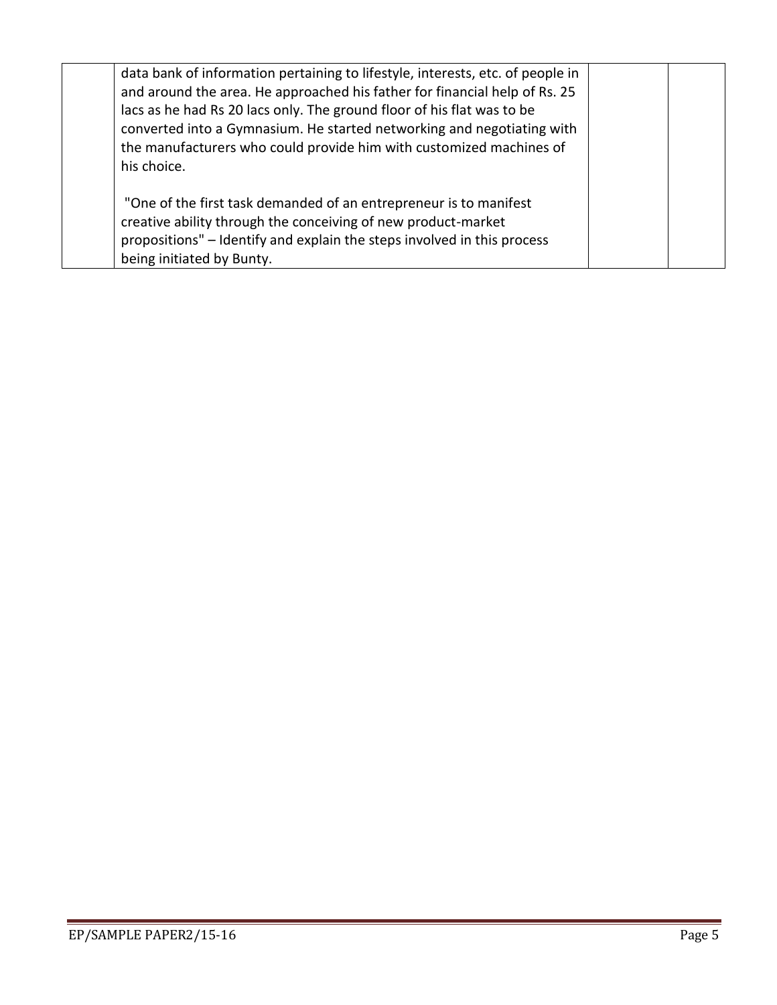| data bank of information pertaining to lifestyle, interests, etc. of people in<br>and around the area. He approached his father for financial help of Rs. 25<br>lacs as he had Rs 20 lacs only. The ground floor of his flat was to be<br>converted into a Gymnasium. He started networking and negotiating with<br>the manufacturers who could provide him with customized machines of<br>his choice. |  |
|--------------------------------------------------------------------------------------------------------------------------------------------------------------------------------------------------------------------------------------------------------------------------------------------------------------------------------------------------------------------------------------------------------|--|
| "One of the first task demanded of an entrepreneur is to manifest<br>creative ability through the conceiving of new product-market<br>propositions" – Identify and explain the steps involved in this process<br>being initiated by Bunty.                                                                                                                                                             |  |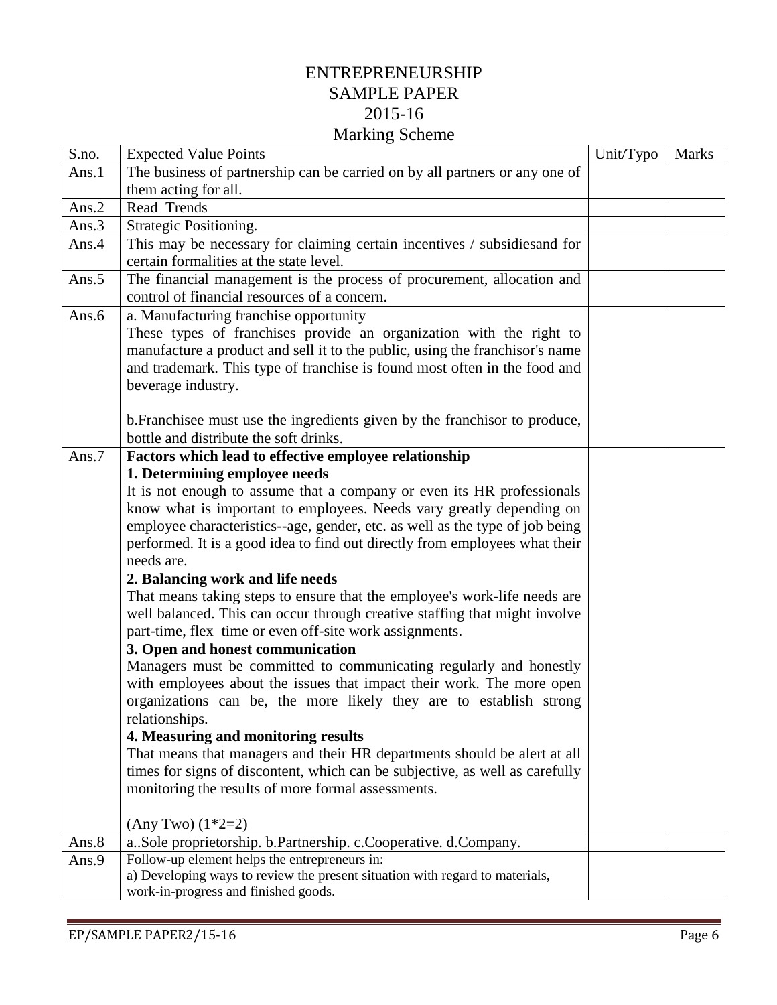## ENTREPRENEURSHIP SAMPLE PAPER 2015-16 Marking Scheme

| S.no. | <b>Expected Value Points</b>                                                                                           | Unit/Typo | <b>Marks</b> |
|-------|------------------------------------------------------------------------------------------------------------------------|-----------|--------------|
| Ans.1 | The business of partnership can be carried on by all partners or any one of                                            |           |              |
|       | them acting for all.                                                                                                   |           |              |
| Ans.2 | Read Trends                                                                                                            |           |              |
| Ans.3 | Strategic Positioning.                                                                                                 |           |              |
| Ans.4 | This may be necessary for claiming certain incentives / subsidies and for<br>certain formalities at the state level.   |           |              |
|       |                                                                                                                        |           |              |
| Ans.5 | The financial management is the process of procurement, allocation and<br>control of financial resources of a concern. |           |              |
| Ans.6 | a. Manufacturing franchise opportunity                                                                                 |           |              |
|       | These types of franchises provide an organization with the right to                                                    |           |              |
|       | manufacture a product and sell it to the public, using the franchisor's name                                           |           |              |
|       | and trademark. This type of franchise is found most often in the food and                                              |           |              |
|       | beverage industry.                                                                                                     |           |              |
|       | b. Franchisee must use the ingredients given by the franchisor to produce,                                             |           |              |
|       | bottle and distribute the soft drinks.                                                                                 |           |              |
| Ans.7 | Factors which lead to effective employee relationship                                                                  |           |              |
|       | 1. Determining employee needs                                                                                          |           |              |
|       | It is not enough to assume that a company or even its HR professionals                                                 |           |              |
|       | know what is important to employees. Needs vary greatly depending on                                                   |           |              |
|       | employee characteristics--age, gender, etc. as well as the type of job being                                           |           |              |
|       | performed. It is a good idea to find out directly from employees what their                                            |           |              |
|       | needs are.                                                                                                             |           |              |
|       | 2. Balancing work and life needs                                                                                       |           |              |
|       | That means taking steps to ensure that the employee's work-life needs are                                              |           |              |
|       | well balanced. This can occur through creative staffing that might involve                                             |           |              |
|       | part-time, flex-time or even off-site work assignments.                                                                |           |              |
|       | 3. Open and honest communication                                                                                       |           |              |
|       | Managers must be committed to communicating regularly and honestly                                                     |           |              |
|       | with employees about the issues that impact their work. The more open                                                  |           |              |
|       | organizations can be, the more likely they are to establish strong                                                     |           |              |
|       | relationships.                                                                                                         |           |              |
|       | 4. Measuring and monitoring results                                                                                    |           |              |
|       | That means that managers and their HR departments should be alert at all                                               |           |              |
|       | times for signs of discontent, which can be subjective, as well as carefully                                           |           |              |
|       | monitoring the results of more formal assessments.                                                                     |           |              |
|       | $(Any Two) (1*2=2)$                                                                                                    |           |              |
| Ans.8 | a. Sole proprietorship. b. Partnership. c. Cooperative. d. Company.                                                    |           |              |
| Ans.9 | Follow-up element helps the entrepreneurs in:                                                                          |           |              |
|       | a) Developing ways to review the present situation with regard to materials,                                           |           |              |
|       | work-in-progress and finished goods.                                                                                   |           |              |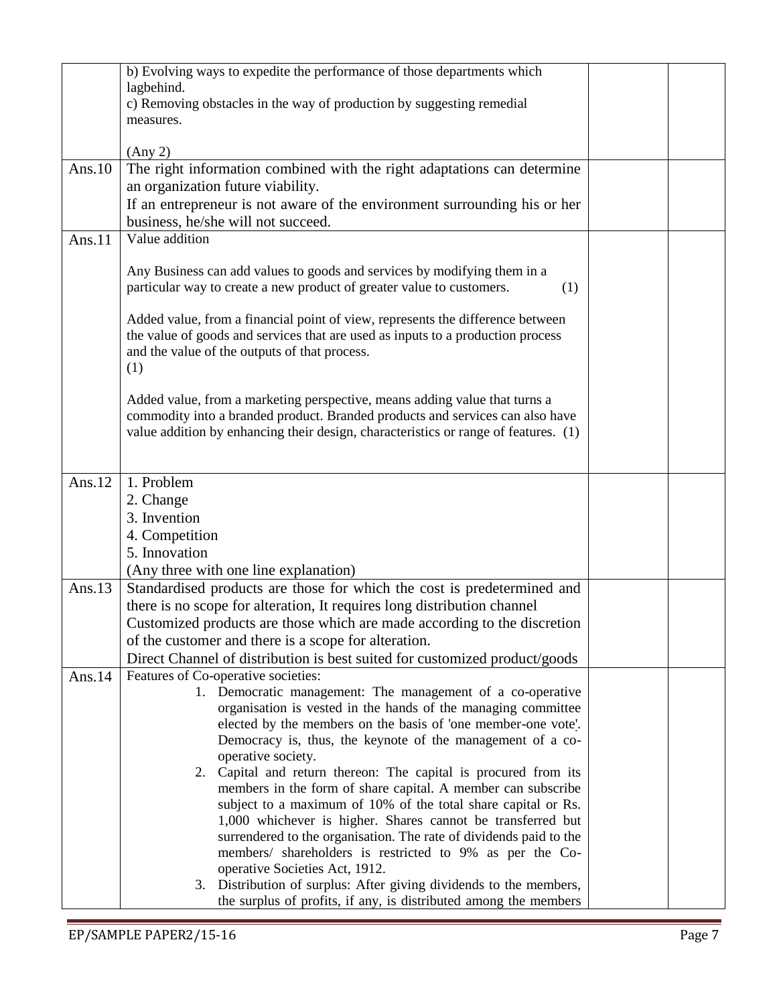|           | b) Evolving ways to expedite the performance of those departments which<br>lagbehind.                                                                                                                                                              |  |
|-----------|----------------------------------------------------------------------------------------------------------------------------------------------------------------------------------------------------------------------------------------------------|--|
|           | c) Removing obstacles in the way of production by suggesting remedial                                                                                                                                                                              |  |
|           | measures.                                                                                                                                                                                                                                          |  |
|           | (Any 2)                                                                                                                                                                                                                                            |  |
| Ans. $10$ | The right information combined with the right adaptations can determine                                                                                                                                                                            |  |
|           | an organization future viability.                                                                                                                                                                                                                  |  |
|           | If an entrepreneur is not aware of the environment surrounding his or her                                                                                                                                                                          |  |
|           | business, he/she will not succeed.                                                                                                                                                                                                                 |  |
| Ans. $11$ | Value addition                                                                                                                                                                                                                                     |  |
|           | Any Business can add values to goods and services by modifying them in a<br>particular way to create a new product of greater value to customers.<br>(1)                                                                                           |  |
|           | Added value, from a financial point of view, represents the difference between<br>the value of goods and services that are used as inputs to a production process<br>and the value of the outputs of that process.<br>(1)                          |  |
|           | Added value, from a marketing perspective, means adding value that turns a<br>commodity into a branded product. Branded products and services can also have<br>value addition by enhancing their design, characteristics or range of features. (1) |  |
| Ans. $12$ | 1. Problem                                                                                                                                                                                                                                         |  |
|           | 2. Change                                                                                                                                                                                                                                          |  |
|           | 3. Invention                                                                                                                                                                                                                                       |  |
|           | 4. Competition                                                                                                                                                                                                                                     |  |
|           | 5. Innovation                                                                                                                                                                                                                                      |  |
| Ans. $13$ | (Any three with one line explanation)<br>Standardised products are those for which the cost is predetermined and                                                                                                                                   |  |
|           | there is no scope for alteration, It requires long distribution channel                                                                                                                                                                            |  |
|           | Customized products are those which are made according to the discretion                                                                                                                                                                           |  |
|           | of the customer and there is a scope for alteration.                                                                                                                                                                                               |  |
|           | Direct Channel of distribution is best suited for customized product/goods                                                                                                                                                                         |  |
| Ans. $14$ | Features of Co-operative societies:                                                                                                                                                                                                                |  |
|           | 1. Democratic management: The management of a co-operative                                                                                                                                                                                         |  |
|           | organisation is vested in the hands of the managing committee                                                                                                                                                                                      |  |
|           | elected by the members on the basis of 'one member-one vote'.<br>Democracy is, thus, the keynote of the management of a co-                                                                                                                        |  |
|           | operative society.                                                                                                                                                                                                                                 |  |
|           | 2. Capital and return thereon: The capital is procured from its                                                                                                                                                                                    |  |
|           | members in the form of share capital. A member can subscribe                                                                                                                                                                                       |  |
|           | subject to a maximum of 10% of the total share capital or Rs.                                                                                                                                                                                      |  |
|           | 1,000 whichever is higher. Shares cannot be transferred but                                                                                                                                                                                        |  |
|           | surrendered to the organisation. The rate of dividends paid to the<br>members/ shareholders is restricted to 9% as per the Co-                                                                                                                     |  |
|           | operative Societies Act, 1912.                                                                                                                                                                                                                     |  |
|           | 3. Distribution of surplus: After giving dividends to the members,                                                                                                                                                                                 |  |
|           | the surplus of profits, if any, is distributed among the members                                                                                                                                                                                   |  |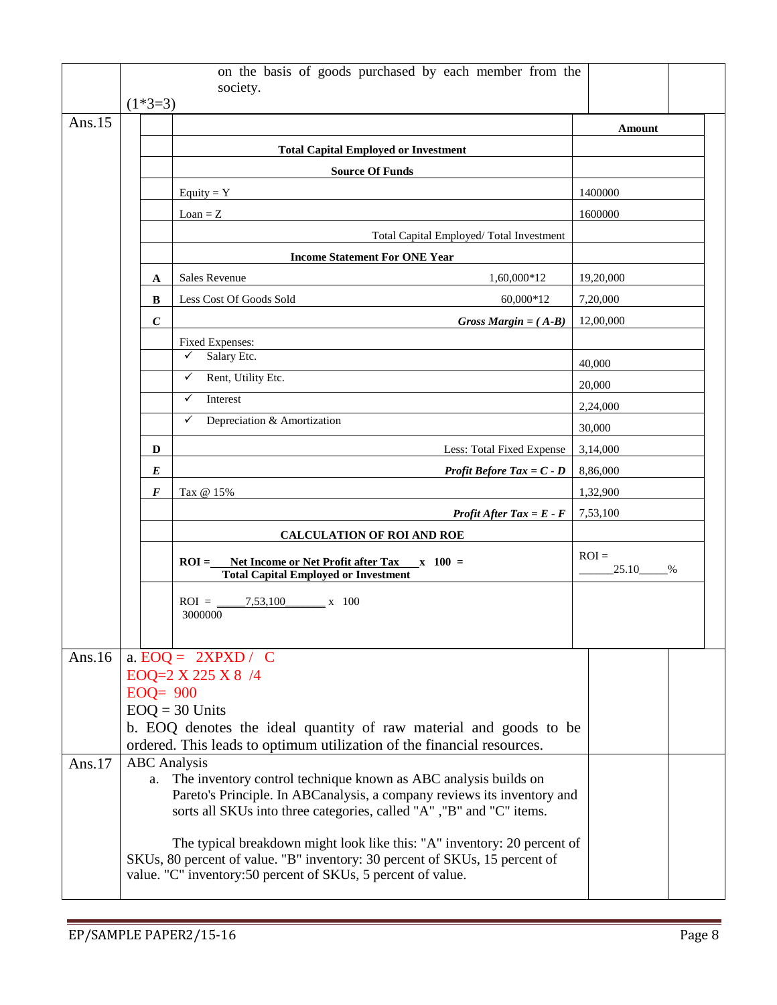|           |                     | on the basis of goods purchased by each member from the<br>society.                                                                                                                                                     |                       |
|-----------|---------------------|-------------------------------------------------------------------------------------------------------------------------------------------------------------------------------------------------------------------------|-----------------------|
|           | $(1*3=3)$           |                                                                                                                                                                                                                         |                       |
| Ans. $15$ |                     |                                                                                                                                                                                                                         | Amount                |
|           |                     | <b>Total Capital Employed or Investment</b>                                                                                                                                                                             |                       |
|           |                     | <b>Source Of Funds</b>                                                                                                                                                                                                  |                       |
|           |                     | Equity = $Y$                                                                                                                                                                                                            | 1400000               |
|           |                     | $Loan = Z$                                                                                                                                                                                                              | 1600000               |
|           |                     | Total Capital Employed/Total Investment                                                                                                                                                                                 |                       |
|           |                     | <b>Income Statement For ONE Year</b>                                                                                                                                                                                    |                       |
|           | A                   | <b>Sales Revenue</b><br>1,60,000*12                                                                                                                                                                                     | 19,20,000             |
|           | B                   | Less Cost Of Goods Sold<br>60,000*12                                                                                                                                                                                    | 7,20,000              |
|           | $\boldsymbol{C}$    | Gross Margin = $(A-B)$                                                                                                                                                                                                  | 12,00,000             |
|           |                     | Fixed Expenses:                                                                                                                                                                                                         |                       |
|           |                     | Salary Etc.<br>$\checkmark$                                                                                                                                                                                             | 40,000                |
|           |                     | Rent, Utility Etc.<br>✓                                                                                                                                                                                                 | 20,000                |
|           |                     | Interest<br>✓                                                                                                                                                                                                           | 2,24,000              |
|           |                     | $\checkmark$<br>Depreciation & Amortization                                                                                                                                                                             | 30,000                |
|           | D                   | Less: Total Fixed Expense                                                                                                                                                                                               | 3,14,000              |
|           | E                   | <b>Profit Before Tax = <math>C - D</math></b>                                                                                                                                                                           | 8,86,000              |
|           | F                   | Tax @ 15%                                                                                                                                                                                                               | 1,32,900              |
|           |                     | <b>Profit After Tax = E - F</b>                                                                                                                                                                                         | 7,53,100              |
|           |                     | <b>CALCULATION OF ROI AND ROE</b>                                                                                                                                                                                       |                       |
|           |                     | $ROI =$ Net Income or Net Profit after Tax $x = 100$ =<br><b>Total Capital Employed or Investment</b>                                                                                                                   | $ROI =$<br>25.10<br>% |
|           |                     | 7,53,100 x 100<br>$ROI =$<br>3000000                                                                                                                                                                                    |                       |
| Ans. $16$ |                     | a. $EOQ = 2XPXD / C$                                                                                                                                                                                                    |                       |
|           |                     | EOQ=2 X 225 X 8 /4                                                                                                                                                                                                      |                       |
|           | $EOQ = 900$         |                                                                                                                                                                                                                         |                       |
|           |                     | $EOQ = 30$ Units                                                                                                                                                                                                        |                       |
|           |                     | b. EOQ denotes the ideal quantity of raw material and goods to be<br>ordered. This leads to optimum utilization of the financial resources.                                                                             |                       |
| Ans.17    | <b>ABC</b> Analysis | a. The inventory control technique known as ABC analysis builds on<br>Pareto's Principle. In ABCanalysis, a company reviews its inventory and<br>sorts all SKUs into three categories, called "A", "B" and "C" items.   |                       |
|           |                     | The typical breakdown might look like this: "A" inventory: 20 percent of<br>SKUs, 80 percent of value. "B" inventory: 30 percent of SKUs, 15 percent of<br>value. "C" inventory:50 percent of SKUs, 5 percent of value. |                       |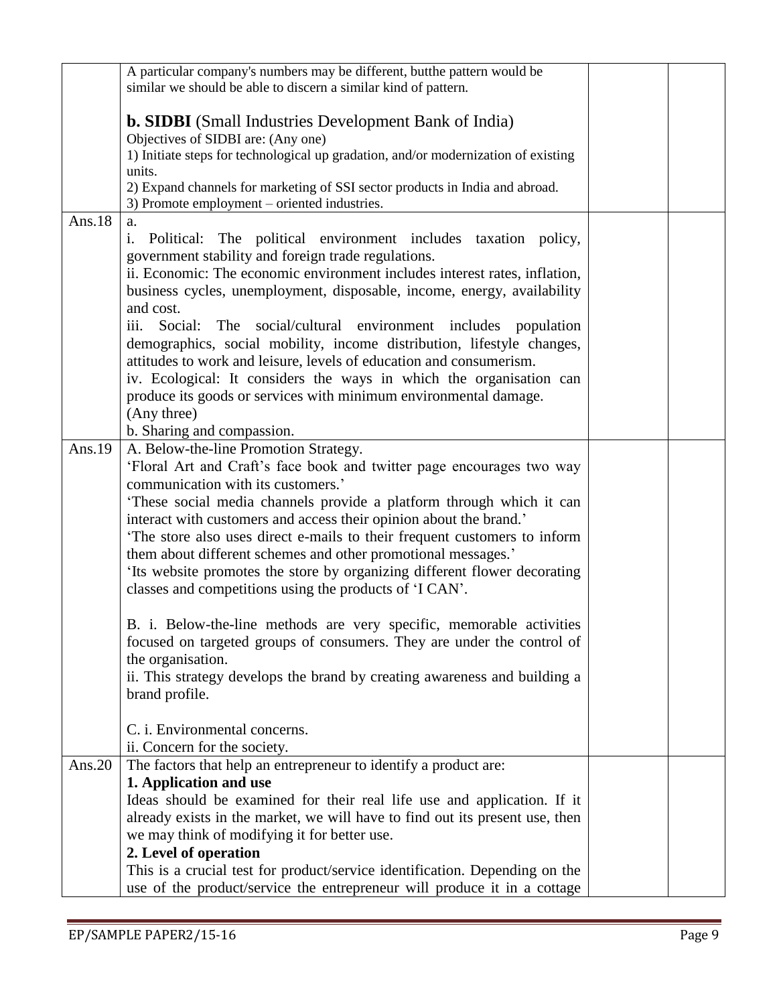|           | A particular company's numbers may be different, but the pattern would be                                                                               |  |
|-----------|---------------------------------------------------------------------------------------------------------------------------------------------------------|--|
|           | similar we should be able to discern a similar kind of pattern.                                                                                         |  |
|           |                                                                                                                                                         |  |
|           | <b>b. SIDBI</b> (Small Industries Development Bank of India)<br>Objectives of SIDBI are: (Any one)                                                      |  |
|           | 1) Initiate steps for technological up gradation, and/or modernization of existing                                                                      |  |
|           | units.                                                                                                                                                  |  |
|           | 2) Expand channels for marketing of SSI sector products in India and abroad.                                                                            |  |
|           | 3) Promote employment – oriented industries.                                                                                                            |  |
| Ans.18    | a.                                                                                                                                                      |  |
|           | i.<br>Political: The political environment includes taxation policy,                                                                                    |  |
|           | government stability and foreign trade regulations.                                                                                                     |  |
|           | ii. Economic: The economic environment includes interest rates, inflation,                                                                              |  |
|           | business cycles, unemployment, disposable, income, energy, availability<br>and cost.                                                                    |  |
|           | iii.<br>Social: The social/cultural environment includes population                                                                                     |  |
|           | demographics, social mobility, income distribution, lifestyle changes,                                                                                  |  |
|           | attitudes to work and leisure, levels of education and consumerism.                                                                                     |  |
|           | iv. Ecological: It considers the ways in which the organisation can                                                                                     |  |
|           | produce its goods or services with minimum environmental damage.                                                                                        |  |
|           | (Any three)                                                                                                                                             |  |
|           | b. Sharing and compassion.                                                                                                                              |  |
| Ans. $19$ | A. Below-the-line Promotion Strategy.                                                                                                                   |  |
|           | 'Floral Art and Craft's face book and twitter page encourages two way                                                                                   |  |
|           | communication with its customers.'                                                                                                                      |  |
|           | 'These social media channels provide a platform through which it can                                                                                    |  |
|           | interact with customers and access their opinion about the brand.'                                                                                      |  |
|           | 'The store also uses direct e-mails to their frequent customers to inform                                                                               |  |
|           | them about different schemes and other promotional messages.'<br>'Its website promotes the store by organizing different flower decorating              |  |
|           | classes and competitions using the products of 'I CAN'.                                                                                                 |  |
|           |                                                                                                                                                         |  |
|           | B. i. Below-the-line methods are very specific, memorable activities                                                                                    |  |
|           | focused on targeted groups of consumers. They are under the control of                                                                                  |  |
|           | the organisation.                                                                                                                                       |  |
|           | ii. This strategy develops the brand by creating awareness and building a                                                                               |  |
|           | brand profile.                                                                                                                                          |  |
|           |                                                                                                                                                         |  |
|           | C. i. Environmental concerns.                                                                                                                           |  |
|           | ii. Concern for the society.                                                                                                                            |  |
| Ans. $20$ | The factors that help an entrepreneur to identify a product are:                                                                                        |  |
|           | 1. Application and use                                                                                                                                  |  |
|           | Ideas should be examined for their real life use and application. If it<br>already exists in the market, we will have to find out its present use, then |  |
|           | we may think of modifying it for better use.                                                                                                            |  |
|           | 2. Level of operation                                                                                                                                   |  |
|           | This is a crucial test for product/service identification. Depending on the                                                                             |  |
|           | use of the product/service the entrepreneur will produce it in a cottage                                                                                |  |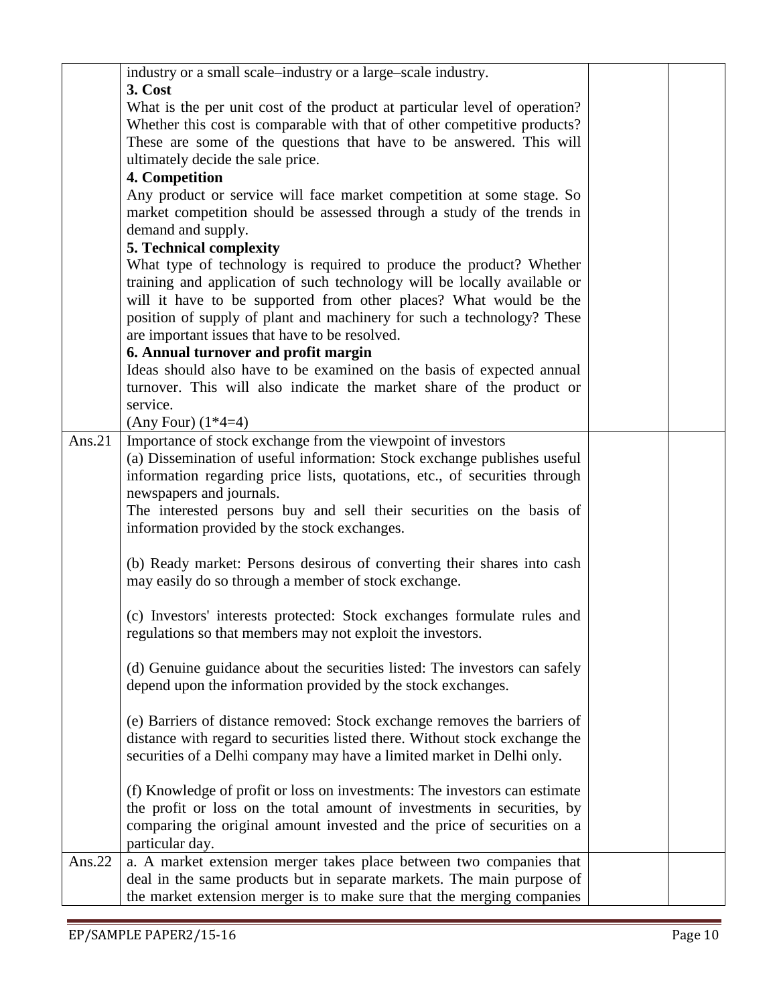|           | industry or a small scale-industry or a large-scale industry.                                                                                   |  |
|-----------|-------------------------------------------------------------------------------------------------------------------------------------------------|--|
|           | 3. Cost                                                                                                                                         |  |
|           | What is the per unit cost of the product at particular level of operation?                                                                      |  |
|           | Whether this cost is comparable with that of other competitive products?<br>These are some of the questions that have to be answered. This will |  |
|           | ultimately decide the sale price.                                                                                                               |  |
|           | 4. Competition                                                                                                                                  |  |
|           | Any product or service will face market competition at some stage. So                                                                           |  |
|           | market competition should be assessed through a study of the trends in<br>demand and supply.                                                    |  |
|           | 5. Technical complexity                                                                                                                         |  |
|           | What type of technology is required to produce the product? Whether                                                                             |  |
|           | training and application of such technology will be locally available or                                                                        |  |
|           | will it have to be supported from other places? What would be the                                                                               |  |
|           | position of supply of plant and machinery for such a technology? These                                                                          |  |
|           | are important issues that have to be resolved.                                                                                                  |  |
|           | 6. Annual turnover and profit margin                                                                                                            |  |
|           | Ideas should also have to be examined on the basis of expected annual                                                                           |  |
|           | turnover. This will also indicate the market share of the product or                                                                            |  |
|           | service.                                                                                                                                        |  |
| Ans. $21$ | (Any Four) $(1*4=4)$<br>Importance of stock exchange from the viewpoint of investors                                                            |  |
|           | (a) Dissemination of useful information: Stock exchange publishes useful                                                                        |  |
|           | information regarding price lists, quotations, etc., of securities through                                                                      |  |
|           | newspapers and journals.                                                                                                                        |  |
|           | The interested persons buy and sell their securities on the basis of                                                                            |  |
|           | information provided by the stock exchanges.                                                                                                    |  |
|           |                                                                                                                                                 |  |
|           | (b) Ready market: Persons desirous of converting their shares into cash                                                                         |  |
|           | may easily do so through a member of stock exchange.                                                                                            |  |
|           |                                                                                                                                                 |  |
|           | (c) Investors' interests protected: Stock exchanges formulate rules and                                                                         |  |
|           | regulations so that members may not exploit the investors.                                                                                      |  |
|           | (d) Genuine guidance about the securities listed: The investors can safely                                                                      |  |
|           | depend upon the information provided by the stock exchanges.                                                                                    |  |
|           |                                                                                                                                                 |  |
|           | (e) Barriers of distance removed: Stock exchange removes the barriers of                                                                        |  |
|           | distance with regard to securities listed there. Without stock exchange the                                                                     |  |
|           | securities of a Delhi company may have a limited market in Delhi only.                                                                          |  |
|           |                                                                                                                                                 |  |
|           | (f) Knowledge of profit or loss on investments: The investors can estimate                                                                      |  |
|           | the profit or loss on the total amount of investments in securities, by                                                                         |  |
|           | comparing the original amount invested and the price of securities on a                                                                         |  |
|           | particular day.                                                                                                                                 |  |
| Ans. $22$ | a. A market extension merger takes place between two companies that                                                                             |  |
|           | deal in the same products but in separate markets. The main purpose of                                                                          |  |
|           | the market extension merger is to make sure that the merging companies                                                                          |  |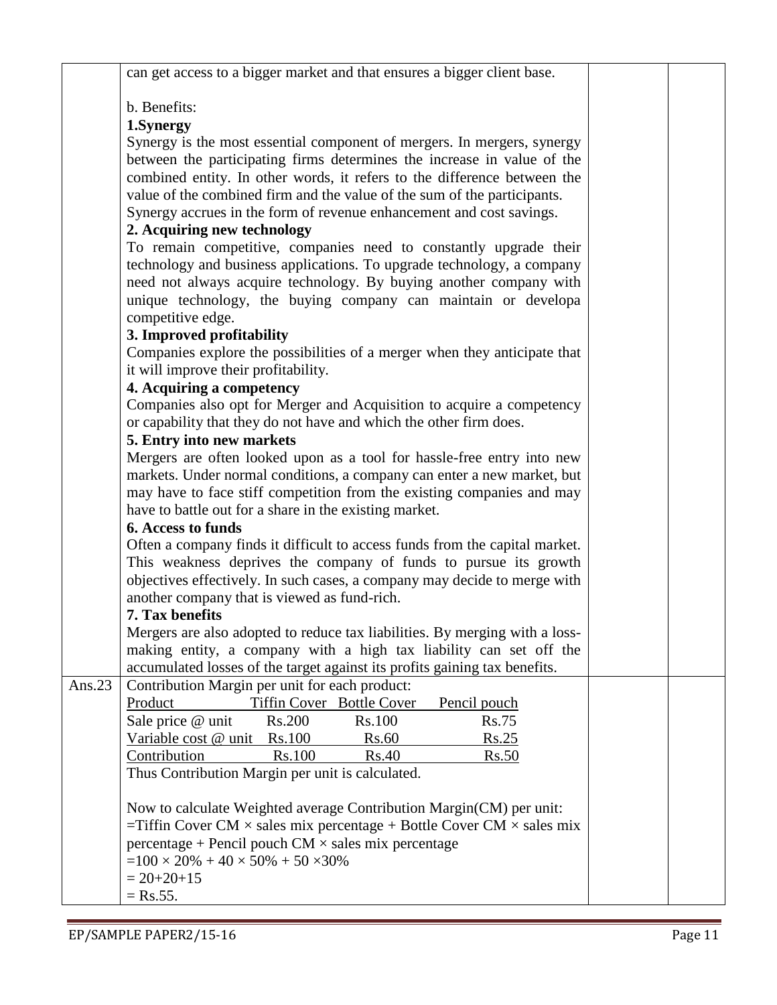|           | can get access to a bigger market and that ensures a bigger client base.                                                                                   |  |
|-----------|------------------------------------------------------------------------------------------------------------------------------------------------------------|--|
|           |                                                                                                                                                            |  |
|           | b. Benefits:<br>1.Synergy                                                                                                                                  |  |
|           | Synergy is the most essential component of mergers. In mergers, synergy                                                                                    |  |
|           | between the participating firms determines the increase in value of the                                                                                    |  |
|           | combined entity. In other words, it refers to the difference between the                                                                                   |  |
|           | value of the combined firm and the value of the sum of the participants.                                                                                   |  |
|           | Synergy accrues in the form of revenue enhancement and cost savings.                                                                                       |  |
|           | 2. Acquiring new technology                                                                                                                                |  |
|           | To remain competitive, companies need to constantly upgrade their                                                                                          |  |
|           | technology and business applications. To upgrade technology, a company                                                                                     |  |
|           | need not always acquire technology. By buying another company with                                                                                         |  |
|           | unique technology, the buying company can maintain or developa                                                                                             |  |
|           | competitive edge.                                                                                                                                          |  |
|           | 3. Improved profitability                                                                                                                                  |  |
|           | Companies explore the possibilities of a merger when they anticipate that                                                                                  |  |
|           | it will improve their profitability.                                                                                                                       |  |
|           | 4. Acquiring a competency<br>Companies also opt for Merger and Acquisition to acquire a competency                                                         |  |
|           | or capability that they do not have and which the other firm does.                                                                                         |  |
|           | 5. Entry into new markets                                                                                                                                  |  |
|           | Mergers are often looked upon as a tool for hassle-free entry into new                                                                                     |  |
|           | markets. Under normal conditions, a company can enter a new market, but                                                                                    |  |
|           | may have to face stiff competition from the existing companies and may                                                                                     |  |
|           | have to battle out for a share in the existing market.                                                                                                     |  |
|           | <b>6. Access to funds</b>                                                                                                                                  |  |
|           | Often a company finds it difficult to access funds from the capital market.                                                                                |  |
|           | This weakness deprives the company of funds to pursue its growth                                                                                           |  |
|           | objectives effectively. In such cases, a company may decide to merge with                                                                                  |  |
|           | another company that is viewed as fund-rich.                                                                                                               |  |
|           | 7. Tax benefits                                                                                                                                            |  |
|           | Mergers are also adopted to reduce tax liabilities. By merging with a loss-                                                                                |  |
|           | making entity, a company with a high tax liability can set off the                                                                                         |  |
|           | accumulated losses of the target against its profits gaining tax benefits.<br>Contribution Margin per unit for each product:                               |  |
| Ans. $23$ | Tiffin Cover Bottle Cover<br>Product<br>Pencil pouch                                                                                                       |  |
|           | Sale price @ unit<br><b>Rs.75</b><br>Rs.200<br>Rs.100                                                                                                      |  |
|           | Variable cost @ unit Rs.100<br>Rs.60<br>Rs.25                                                                                                              |  |
|           | Contribution<br><b>Rs.100</b><br>Rs.40<br>Rs.50                                                                                                            |  |
|           | Thus Contribution Margin per unit is calculated.                                                                                                           |  |
|           |                                                                                                                                                            |  |
|           | Now to calculate Weighted average Contribution Margin(CM) per unit:<br>=Tiffin Cover CM $\times$ sales mix percentage + Bottle Cover CM $\times$ sales mix |  |
|           | $percentage + Pencil$ pouch $CM \times sales$ mix percentage                                                                                               |  |
|           | $=100 \times 20\% + 40 \times 50\% + 50 \times 30\%$                                                                                                       |  |
|           | $= 20 + 20 + 15$                                                                                                                                           |  |
|           | $=$ Rs.55.                                                                                                                                                 |  |